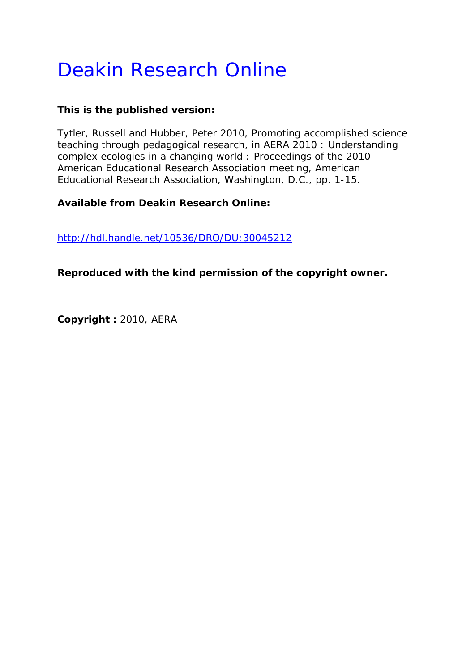# Deakin Research Online

## **This is the published version:**

Tytler, Russell and Hubber, Peter 2010, Promoting accomplished science teaching through pedagogical research*, in AERA 2010 : Understanding complex ecologies in a changing world : Proceedings of the 2010 American Educational Research Association meeting*, American Educational Research Association, Washington, D.C., pp. 1-15.

## **Available from Deakin Research Online:**

http://hdl.handle.net/10536/DRO/DU:30045212

**Reproduced with the kind permission of the copyright owner.** 

**Copyright :** 2010, AERA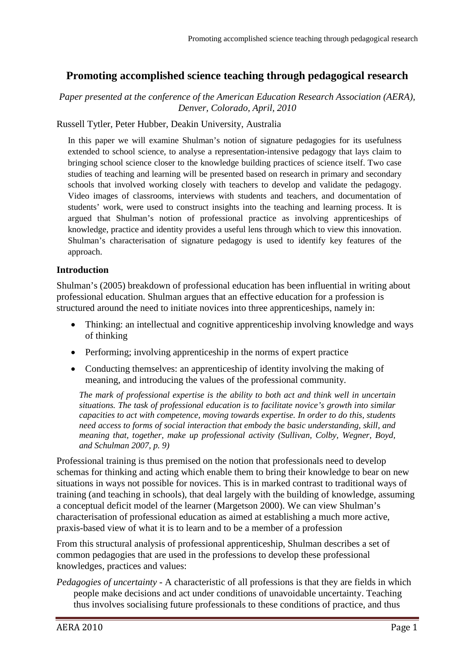# **Promoting accomplished science teaching through pedagogical research**

#### *Paper presented at the conference of the American Education Research Association (AERA), Denver, Colorado, April, 2010*

#### Russell Tytler, Peter Hubber, Deakin University, Australia

In this paper we will examine Shulman's notion of signature pedagogies for its usefulness extended to school science, to analyse a representation-intensive pedagogy that lays claim to bringing school science closer to the knowledge building practices of science itself. Two case studies of teaching and learning will be presented based on research in primary and secondary schools that involved working closely with teachers to develop and validate the pedagogy. Video images of classrooms, interviews with students and teachers, and documentation of students' work, were used to construct insights into the teaching and learning process. It is argued that Shulman's notion of professional practice as involving apprenticeships of knowledge, practice and identity provides a useful lens through which to view this innovation. Shulman's characterisation of signature pedagogy is used to identify key features of the approach.

#### **Introduction**

Shulman's (2005) breakdown of professional education has been influential in writing about professional education. Shulman argues that an effective education for a profession is structured around the need to initiate novices into three apprenticeships, namely in:

- Thinking: an intellectual and cognitive apprenticeship involving knowledge and ways of thinking
- Performing; involving apprenticeship in the norms of expert practice
- Conducting themselves: an apprenticeship of identity involving the making of meaning, and introducing the values of the professional community.

*The mark of professional expertise is the ability to both act and think well in uncertain situations. The task of professional education is to facilitate novice's growth into similar capacities to act with competence, moving towards expertise. In order to do this, students need access to forms of social interaction that embody the basic understanding, skill, and meaning that, together, make up professional activity (Sullivan, Colby, Wegner, Boyd, and Schulman 2007, p. 9)*

Professional training is thus premised on the notion that professionals need to develop schemas for thinking and acting which enable them to bring their knowledge to bear on new situations in ways not possible for novices. This is in marked contrast to traditional ways of training (and teaching in schools), that deal largely with the building of knowledge, assuming a conceptual deficit model of the learner (Margetson 2000). We can view Shulman's characterisation of professional education as aimed at establishing a much more active, praxis-based view of what it is to learn and to be a member of a profession

From this structural analysis of professional apprenticeship, Shulman describes a set of common pedagogies that are used in the professions to develop these professional knowledges, practices and values:

*Pedagogies of uncertainty -* A characteristic of all professions is that they are fields in which people make decisions and act under conditions of unavoidable uncertainty. Teaching thus involves socialising future professionals to these conditions of practice, and thus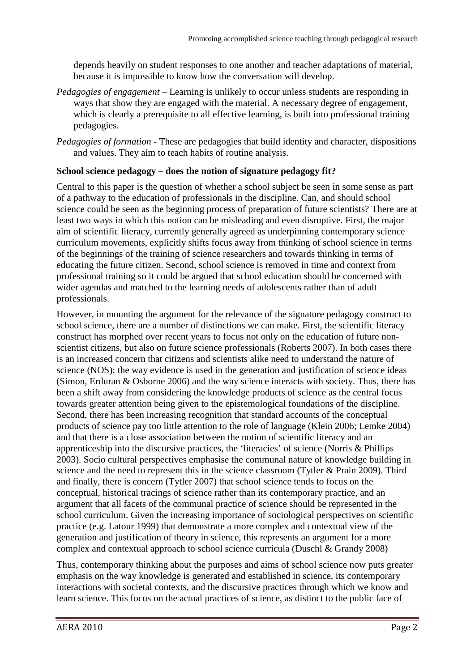depends heavily on student responses to one another and teacher adaptations of material, because it is impossible to know how the conversation will develop.

- *Pedagogies of engagement –* Learning is unlikely to occur unless students are responding in ways that show they are engaged with the material. A necessary degree of engagement, which is clearly a prerequisite to all effective learning, is built into professional training pedagogies.
- *Pedagogies of formation -* These are pedagogies that build identity and character, dispositions and values. They aim to teach habits of routine analysis.

#### **School science pedagogy – does the notion of signature pedagogy fit?**

Central to this paper is the question of whether a school subject be seen in some sense as part of a pathway to the education of professionals in the discipline. Can, and should school science could be seen as the beginning process of preparation of future scientists? There are at least two ways in which this notion can be misleading and even disruptive. First, the major aim of scientific literacy, currently generally agreed as underpinning contemporary science curriculum movements, explicitly shifts focus away from thinking of school science in terms of the beginnings of the training of science researchers and towards thinking in terms of educating the future citizen. Second, school science is removed in time and context from professional training so it could be argued that school education should be concerned with wider agendas and matched to the learning needs of adolescents rather than of adult professionals.

However, in mounting the argument for the relevance of the signature pedagogy construct to school science, there are a number of distinctions we can make. First, the scientific literacy construct has morphed over recent years to focus not only on the education of future nonscientist citizens, but also on future science professionals (Roberts 2007). In both cases there is an increased concern that citizens and scientists alike need to understand the nature of science (NOS); the way evidence is used in the generation and justification of science ideas (Simon, Erduran & Osborne 2006) and the way science interacts with society. Thus, there has been a shift away from considering the knowledge products of science as the central focus towards greater attention being given to the epistemological foundations of the discipline. Second, there has been increasing recognition that standard accounts of the conceptual products of science pay too little attention to the role of language (Klein 2006; Lemke 2004) and that there is a close association between the notion of scientific literacy and an apprenticeship into the discursive practices, the 'literacies' of science (Norris & Phillips 2003). Socio cultural perspectives emphasise the communal nature of knowledge building in science and the need to represent this in the science classroom (Tytler & Prain 2009). Third and finally, there is concern (Tytler 2007) that school science tends to focus on the conceptual, historical tracings of science rather than its contemporary practice, and an argument that all facets of the communal practice of science should be represented in the school curriculum. Given the increasing importance of sociological perspectives on scientific practice (e.g. Latour 1999) that demonstrate a more complex and contextual view of the generation and justification of theory in science, this represents an argument for a more complex and contextual approach to school science curricula (Duschl & Grandy 2008)

Thus, contemporary thinking about the purposes and aims of school science now puts greater emphasis on the way knowledge is generated and established in science, its contemporary interactions with societal contexts, and the discursive practices through which we know and learn science. This focus on the actual practices of science, as distinct to the public face of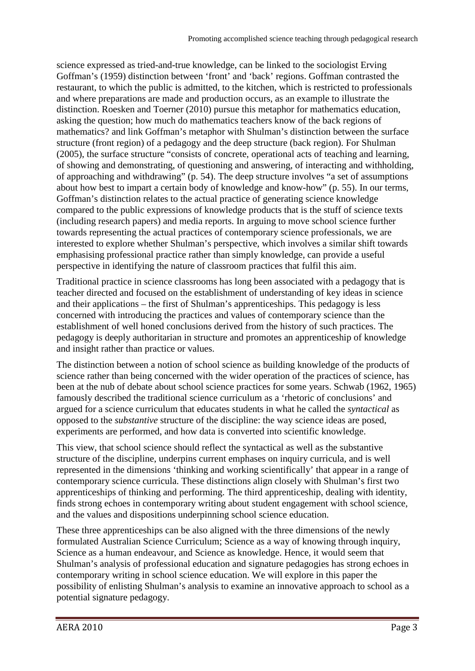science expressed as tried-and-true knowledge, can be linked to the sociologist Erving Goffman's (1959) distinction between 'front' and 'back' regions. Goffman contrasted the restaurant, to which the public is admitted, to the kitchen, which is restricted to professionals and where preparations are made and production occurs, as an example to illustrate the distinction. Roesken and Toerner (2010) pursue this metaphor for mathematics education, asking the question; how much do mathematics teachers know of the back regions of mathematics? and link Goffman's metaphor with Shulman's distinction between the surface structure (front region) of a pedagogy and the deep structure (back region). For Shulman (2005), the surface structure "consists of concrete, operational acts of teaching and learning, of showing and demonstrating, of questioning and answering, of interacting and withholding, of approaching and withdrawing" (p. 54). The deep structure involves "a set of assumptions about how best to impart a certain body of knowledge and know-how" (p. 55). In our terms, Goffman's distinction relates to the actual practice of generating science knowledge compared to the public expressions of knowledge products that is the stuff of science texts (including research papers) and media reports. In arguing to move school science further towards representing the actual practices of contemporary science professionals, we are interested to explore whether Shulman's perspective, which involves a similar shift towards emphasising professional practice rather than simply knowledge, can provide a useful perspective in identifying the nature of classroom practices that fulfil this aim.

Traditional practice in science classrooms has long been associated with a pedagogy that is teacher directed and focused on the establishment of understanding of key ideas in science and their applications – the first of Shulman's apprenticeships. This pedagogy is less concerned with introducing the practices and values of contemporary science than the establishment of well honed conclusions derived from the history of such practices. The pedagogy is deeply authoritarian in structure and promotes an apprenticeship of knowledge and insight rather than practice or values.

The distinction between a notion of school science as building knowledge of the products of science rather than being concerned with the wider operation of the practices of science, has been at the nub of debate about school science practices for some years. Schwab (1962, 1965) famously described the traditional science curriculum as a 'rhetoric of conclusions' and argued for a science curriculum that educates students in what he called the *syntactical* as opposed to the *substantive* structure of the discipline: the way science ideas are posed, experiments are performed, and how data is converted into scientific knowledge.

This view, that school science should reflect the syntactical as well as the substantive structure of the discipline, underpins current emphases on inquiry curricula, and is well represented in the dimensions 'thinking and working scientifically' that appear in a range of contemporary science curricula. These distinctions align closely with Shulman's first two apprenticeships of thinking and performing. The third apprenticeship, dealing with identity, finds strong echoes in contemporary writing about student engagement with school science, and the values and dispositions underpinning school science education.

These three apprenticeships can be also aligned with the three dimensions of the newly formulated Australian Science Curriculum; Science as a way of knowing through inquiry, Science as a human endeavour, and Science as knowledge. Hence, it would seem that Shulman's analysis of professional education and signature pedagogies has strong echoes in contemporary writing in school science education. We will explore in this paper the possibility of enlisting Shulman's analysis to examine an innovative approach to school as a potential signature pedagogy.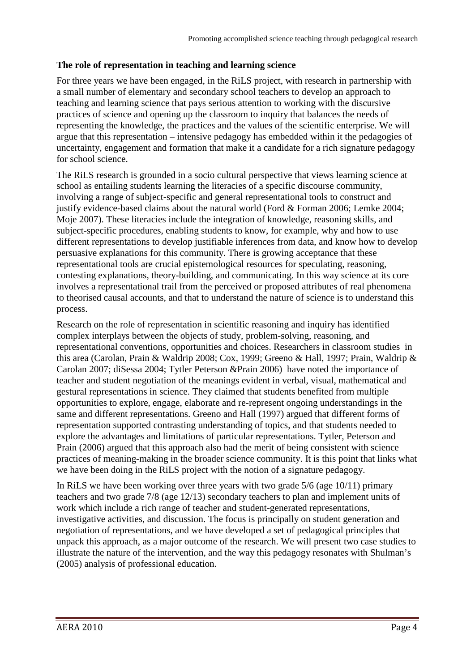#### **The role of representation in teaching and learning science**

For three years we have been engaged, in the RiLS project, with research in partnership with a small number of elementary and secondary school teachers to develop an approach to teaching and learning science that pays serious attention to working with the discursive practices of science and opening up the classroom to inquiry that balances the needs of representing the knowledge, the practices and the values of the scientific enterprise. We will argue that this representation – intensive pedagogy has embedded within it the pedagogies of uncertainty, engagement and formation that make it a candidate for a rich signature pedagogy for school science.

The RiLS research is grounded in a socio cultural perspective that views learning science at school as entailing students learning the literacies of a specific discourse community, involving a range of subject-specific and general representational tools to construct and justify evidence-based claims about the natural world (Ford & Forman 2006; Lemke 2004; Moje 2007). These literacies include the integration of knowledge, reasoning skills, and subject-specific procedures, enabling students to know, for example, why and how to use different representations to develop justifiable inferences from data, and know how to develop persuasive explanations for this community. There is growing acceptance that these representational tools are crucial epistemological resources for speculating, reasoning, contesting explanations, theory-building, and communicating. In this way science at its core involves a representational trail from the perceived or proposed attributes of real phenomena to theorised causal accounts, and that to understand the nature of science is to understand this process.

Research on the role of representation in scientific reasoning and inquiry has identified complex interplays between the objects of study, problem-solving, reasoning, and representational conventions, opportunities and choices. Researchers in classroom studies in this area (Carolan, Prain & Waldrip 2008; Cox, 1999; Greeno & Hall, 1997; Prain, Waldrip & Carolan 2007; diSessa 2004; Tytler Peterson &Prain 2006) have noted the importance of teacher and student negotiation of the meanings evident in verbal, visual, mathematical and gestural representations in science. They claimed that students benefited from multiple opportunities to explore, engage, elaborate and re-represent ongoing understandings in the same and different representations. Greeno and Hall (1997) argued that different forms of representation supported contrasting understanding of topics, and that students needed to explore the advantages and limitations of particular representations. Tytler, Peterson and Prain (2006) argued that this approach also had the merit of being consistent with science practices of meaning-making in the broader science community. It is this point that links what we have been doing in the RiLS project with the notion of a signature pedagogy.

In RiLS we have been working over three years with two grade 5/6 (age 10/11) primary teachers and two grade 7/8 (age 12/13) secondary teachers to plan and implement units of work which include a rich range of teacher and student-generated representations, investigative activities, and discussion. The focus is principally on student generation and negotiation of representations, and we have developed a set of pedagogical principles that unpack this approach, as a major outcome of the research. We will present two case studies to illustrate the nature of the intervention, and the way this pedagogy resonates with Shulman's (2005) analysis of professional education.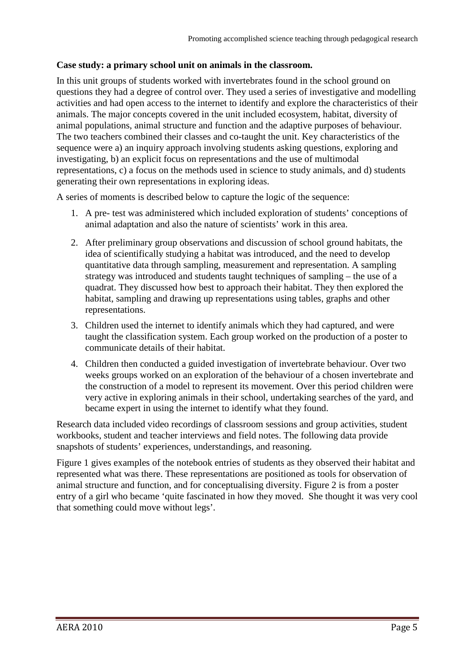#### **Case study: a primary school unit on animals in the classroom.**

In this unit groups of students worked with invertebrates found in the school ground on questions they had a degree of control over. They used a series of investigative and modelling activities and had open access to the internet to identify and explore the characteristics of their animals. The major concepts covered in the unit included ecosystem, habitat, diversity of animal populations, animal structure and function and the adaptive purposes of behaviour. The two teachers combined their classes and co-taught the unit. Key characteristics of the sequence were a) an inquiry approach involving students asking questions, exploring and investigating, b) an explicit focus on representations and the use of multimodal representations, c) a focus on the methods used in science to study animals, and d) students generating their own representations in exploring ideas.

A series of moments is described below to capture the logic of the sequence:

- 1. A pre- test was administered which included exploration of students' conceptions of animal adaptation and also the nature of scientists' work in this area.
- 2. After preliminary group observations and discussion of school ground habitats, the idea of scientifically studying a habitat was introduced, and the need to develop quantitative data through sampling, measurement and representation. A sampling strategy was introduced and students taught techniques of sampling – the use of a quadrat. They discussed how best to approach their habitat. They then explored the habitat, sampling and drawing up representations using tables, graphs and other representations.
- 3. Children used the internet to identify animals which they had captured, and were taught the classification system. Each group worked on the production of a poster to communicate details of their habitat.
- 4. Children then conducted a guided investigation of invertebrate behaviour. Over two weeks groups worked on an exploration of the behaviour of a chosen invertebrate and the construction of a model to represent its movement. Over this period children were very active in exploring animals in their school, undertaking searches of the yard, and became expert in using the internet to identify what they found.

Research data included video recordings of classroom sessions and group activities, student workbooks, student and teacher interviews and field notes. The following data provide snapshots of students' experiences, understandings, and reasoning.

Figure 1 gives examples of the notebook entries of students as they observed their habitat and represented what was there. These representations are positioned as tools for observation of animal structure and function, and for conceptualising diversity. Figure 2 is from a poster entry of a girl who became 'quite fascinated in how they moved. She thought it was very cool that something could move without legs'.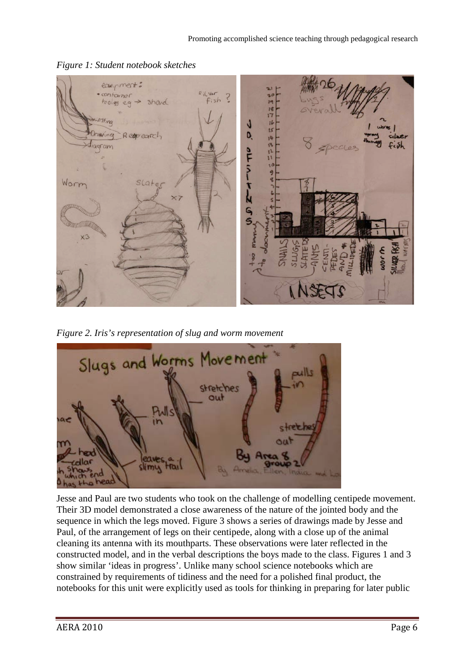

*Figure 1: Student notebook sketches*

*Figure 2. Iris's representation of slug and worm movement*



Jesse and Paul are two students who took on the challenge of modelling centipede movement. Their 3D model demonstrated a close awareness of the nature of the jointed body and the sequence in which the legs moved. Figure 3 shows a series of drawings made by Jesse and Paul, of the arrangement of legs on their centipede, along with a close up of the animal cleaning its antenna with its mouthparts. These observations were later reflected in the constructed model, and in the verbal descriptions the boys made to the class. Figures 1 and 3 show similar 'ideas in progress'. Unlike many school science notebooks which are constrained by requirements of tidiness and the need for a polished final product, the notebooks for this unit were explicitly used as tools for thinking in preparing for later public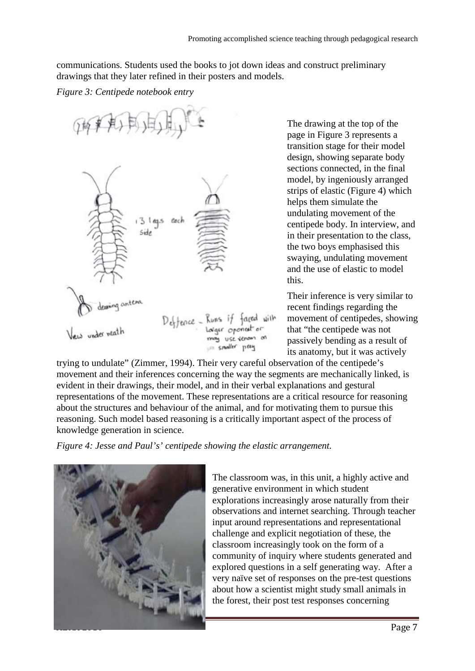communications. Students used the books to jot down ideas and construct preliminary drawings that they later refined in their posters and models.

#### *Figure 3: Centipede notebook entry*



The drawing at the top of the page in Figure 3 represents a transition stage for their model design, showing separate body sections connected, in the final model, by ingeniously arranged strips of elastic (Figure 4) which helps them simulate the undulating movement of the centipede body. In interview, and in their presentation to the class, the two boys emphasised this swaying, undulating movement and the use of elastic to model this.

Their inference is very similar to recent findings regarding the movement of centipedes, showing that "the centipede was not passively bending as a result of its anatomy, but it was actively

trying to undulate" (Zimmer, 1994). Their very careful observation of the centipede's movement and their inferences concerning the way the segments are mechanically linked, is evident in their drawings, their model, and in their verbal explanations and gestural representations of the movement. These representations are a critical resource for reasoning about the structures and behaviour of the animal, and for motivating them to pursue this reasoning. Such model based reasoning is a critically important aspect of the process of knowledge generation in science.

*Figure 4: Jesse and Paul's' centipede showing the elastic arrangement.*



The classroom was, in this unit, a highly active and generative environment in which student explorations increasingly arose naturally from their observations and internet searching. Through teacher input around representations and representational challenge and explicit negotiation of these, the classroom increasingly took on the form of a community of inquiry where students generated and explored questions in a self generating way. After a very naïve set of responses on the pre-test questions about how a scientist might study small animals in the forest, their post test responses concerning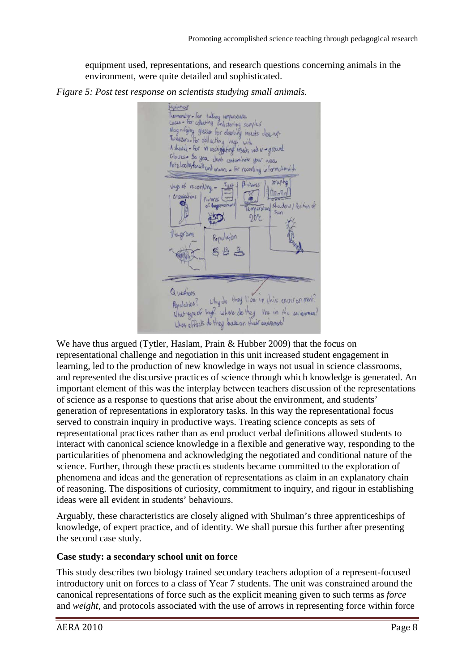equipment used, representations, and research questions concerning animals in the environment, were quite detailed and sophisticated.



*Figure 5: Post test response on scientists studying small animals.* 

We have thus argued (Tytler, Haslam, Prain & Hubber 2009) that the focus on representational challenge and negotiation in this unit increased student engagement in learning, led to the production of new knowledge in ways not usual in science classrooms, and represented the discursive practices of science through which knowledge is generated. An important element of this was the interplay between teachers discussion of the representations of science as a response to questions that arise about the environment, and students' generation of representations in exploratory tasks. In this way the representational focus served to constrain inquiry in productive ways. Treating science concepts as sets of representational practices rather than as end product verbal definitions allowed students to interact with canonical science knowledge in a flexible and generative way, responding to the particularities of phenomena and acknowledging the negotiated and conditional nature of the science. Further, through these practices students became committed to the exploration of phenomena and ideas and the generation of representations as claim in an explanatory chain of reasoning. The dispositions of curiosity, commitment to inquiry, and rigour in establishing ideas were all evident in students' behaviours.

Arguably, these characteristics are closely aligned with Shulman's three apprenticeships of knowledge, of expert practice, and of identity. We shall pursue this further after presenting the second case study.

#### **Case study: a secondary school unit on force**

This study describes two biology trained secondary teachers adoption of a represent-focused introductory unit on forces to a class of Year 7 students. The unit was constrained around the canonical representations of force such as the explicit meaning given to such terms as *force* and *weight*, and protocols associated with the use of arrows in representing force within force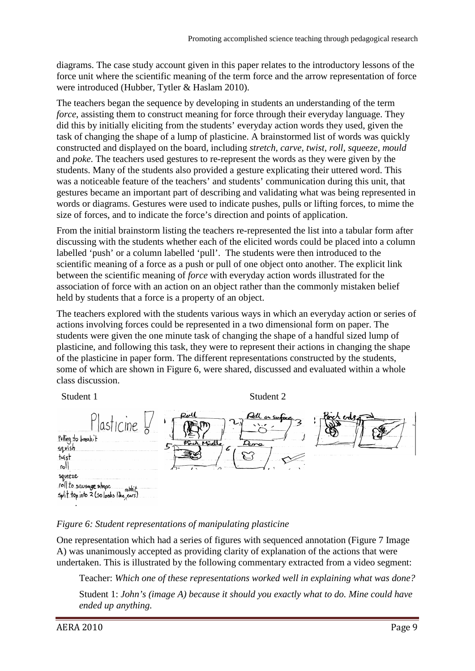diagrams. The case study account given in this paper relates to the introductory lessons of the force unit where the scientific meaning of the term force and the arrow representation of force were introduced (Hubber, Tytler & Haslam 2010).

The teachers began the sequence by developing in students an understanding of the term *force*, assisting them to construct meaning for force through their everyday language. They did this by initially eliciting from the students' everyday action words they used, given the task of changing the shape of a lump of plasticine. A brainstormed list of words was quickly constructed and displayed on the board, including *stretch, carve, twist, roll, squeeze, mould*  and *poke*. The teachers used gestures to re-represent the words as they were given by the students. Many of the students also provided a gesture explicating their uttered word. This was a noticeable feature of the teachers' and students' communication during this unit, that gestures became an important part of describing and validating what was being represented in words or diagrams. Gestures were used to indicate pushes, pulls or lifting forces, to mime the size of forces, and to indicate the force's direction and points of application.

From the initial brainstorm listing the teachers re-represented the list into a tabular form after discussing with the students whether each of the elicited words could be placed into a column labelled 'push' or a column labelled 'pull'. The students were then introduced to the scientific meaning of a force as a push or pull of one object onto another. The explicit link between the scientific meaning of *force* with everyday action words illustrated for the association of force with an action on an object rather than the commonly mistaken belief held by students that a force is a property of an object.

The teachers explored with the students various ways in which an everyday action or series of actions involving forces could be represented in a two dimensional form on paper. The students were given the one minute task of changing the shape of a handful sized lump of plasticine, and following this task, they were to represent their actions in changing the shape of the plasticine in paper form. The different representations constructed by the students, some of which are shown in Figure 6, were shared, discussed and evaluated within a whole class discussion.

| Student 1                                                                                                                                                          | Student 2                                                                                |             |
|--------------------------------------------------------------------------------------------------------------------------------------------------------------------|------------------------------------------------------------------------------------------|-------------|
| $last$ cme $\frac{1}{2}$<br>Pulling to breakit<br>squish<br>twist<br>LO <sub>1</sub><br>squeeze<br>noll to sausage shape.<br>split top into 2 (so looks like ears) | All on surface<br>Roll<br>r<br>Porch Middle<br>Done<br>Б<br>$\overline{1}$<br>$\sqrt{2}$ | Porch ends, |

#### *Figure 6: Student representations of manipulating plasticine*

One representation which had a series of figures with sequenced annotation (Figure 7 Image A) was unanimously accepted as providing clarity of explanation of the actions that were undertaken. This is illustrated by the following commentary extracted from a video segment:

Teacher: *Which one of these representations worked well in explaining what was done?*

Student 1: *John's (image A) because it should you exactly what to do. Mine could have ended up anything.*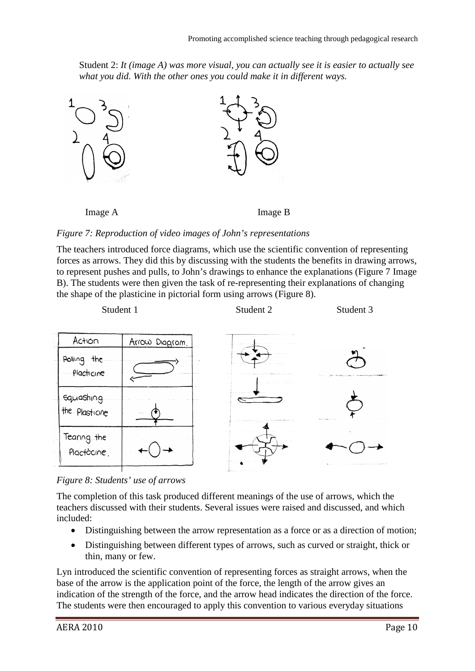Student 2: *It (image A) was more visual, you can actually see it is easier to actually see what you did. With the other ones you could make it in different ways.*



*Figure 7: Reproduction of video images of John's representations*

The teachers introduced force diagrams, which use the scientific convention of representing forces as arrows. They did this by discussing with the students the benefits in drawing arrows, to represent pushes and pulls, to John's drawings to enhance the explanations (Figure 7 Image B). The students were then given the task of re-representing their explanations of changing the shape of the plasticine in pictorial form using arrows (Figure 8).



*Figure 8: Students' use of arrows*

The completion of this task produced different meanings of the use of arrows, which the teachers discussed with their students. Several issues were raised and discussed, and which included:

- Distinguishing between the arrow representation as a force or as a direction of motion;
- Distinguishing between different types of arrows, such as curved or straight, thick or thin, many or few.

Lyn introduced the scientific convention of representing forces as straight arrows, when the base of the arrow is the application point of the force, the length of the arrow gives an indication of the strength of the force, and the arrow head indicates the direction of the force. The students were then encouraged to apply this convention to various everyday situations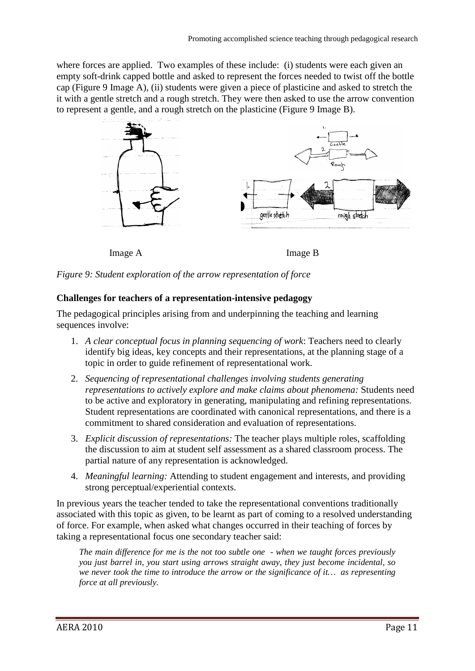where forces are applied. Two examples of these include: (i) students were each given an empty soft-drink capped bottle and asked to represent the forces needed to twist off the bottle cap (Figure 9 Image A), (ii) students were given a piece of plasticine and asked to stretch the it with a gentle stretch and a rough stretch. They were then asked to use the arrow convention to represent a gentle, and a rough stretch on the plasticine (Figure 9 Image B).



Image A Image B

*Figure 9: Student exploration of the arrow representation of force*

#### **Challenges for teachers of a representation-intensive pedagogy**

The pedagogical principles arising from and underpinning the teaching and learning sequences involve:

- 1. *A clear conceptual focus in planning sequencing of work*: Teachers need to clearly identify big ideas, key concepts and their representations, at the planning stage of a topic in order to guide refinement of representational work.
- 2. *Sequencing of representational challenges involving students generating representations to actively explore and make claims about phenomena:* Students need to be active and exploratory in generating, manipulating and refining representations. Student representations are coordinated with canonical representations, and there is a commitment to shared consideration and evaluation of representations.
- 3. *Explicit discussion of representations:* The teacher plays multiple roles, scaffolding the discussion to aim at student self assessment as a shared classroom process. The partial nature of any representation is acknowledged.
- 4. *Meaningful learning:* Attending to student engagement and interests, and providing strong perceptual/experiential contexts.

In previous years the teacher tended to take the representational conventions traditionally associated with this topic as given, to be learnt as part of coming to a resolved understanding of force. For example, when asked what changes occurred in their teaching of forces by taking a representational focus one secondary teacher said:

*The main difference for me is the not too subtle one - when we taught forces previously you just barrel in, you start using arrows straight away, they just become incidental, so we never took the time to introduce the arrow or the significance of it… as representing force at all previously.*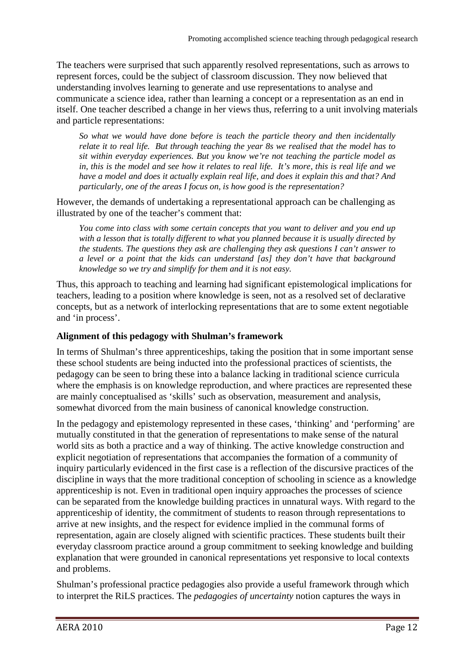The teachers were surprised that such apparently resolved representations, such as arrows to represent forces, could be the subject of classroom discussion. They now believed that understanding involves learning to generate and use representations to analyse and communicate a science idea, rather than learning a concept or a representation as an end in itself. One teacher described a change in her views thus, referring to a unit involving materials and particle representations:

*So what we would have done before is teach the particle theory and then incidentally relate it to real life. But through teaching the year 8s we realised that the model has to sit within everyday experiences. But you know we're not teaching the particle model as in, this is the model and see how it relates to real life. It's more, this is real life and we have a model and does it actually explain real life, and does it explain this and that? And particularly, one of the areas I focus on, is how good is the representation?*

However, the demands of undertaking a representational approach can be challenging as illustrated by one of the teacher's comment that:

*You come into class with some certain concepts that you want to deliver and you end up with a lesson that is totally different to what you planned because it is usually directed by the students. The questions they ask are challenging they ask questions I can't answer to a level or a point that the kids can understand [as] they don't have that background knowledge so we try and simplify for them and it is not easy.*

Thus, this approach to teaching and learning had significant epistemological implications for teachers, leading to a position where knowledge is seen, not as a resolved set of declarative concepts, but as a network of interlocking representations that are to some extent negotiable and 'in process'.

#### **Alignment of this pedagogy with Shulman's framework**

In terms of Shulman's three apprenticeships, taking the position that in some important sense these school students are being inducted into the professional practices of scientists, the pedagogy can be seen to bring these into a balance lacking in traditional science curricula where the emphasis is on knowledge reproduction, and where practices are represented these are mainly conceptualised as 'skills' such as observation, measurement and analysis, somewhat divorced from the main business of canonical knowledge construction.

In the pedagogy and epistemology represented in these cases, 'thinking' and 'performing' are mutually constituted in that the generation of representations to make sense of the natural world sits as both a practice and a way of thinking. The active knowledge construction and explicit negotiation of representations that accompanies the formation of a community of inquiry particularly evidenced in the first case is a reflection of the discursive practices of the discipline in ways that the more traditional conception of schooling in science as a knowledge apprenticeship is not. Even in traditional open inquiry approaches the processes of science can be separated from the knowledge building practices in unnatural ways. With regard to the apprenticeship of identity, the commitment of students to reason through representations to arrive at new insights, and the respect for evidence implied in the communal forms of representation, again are closely aligned with scientific practices. These students built their everyday classroom practice around a group commitment to seeking knowledge and building explanation that were grounded in canonical representations yet responsive to local contexts and problems.

Shulman's professional practice pedagogies also provide a useful framework through which to interpret the RiLS practices. The *pedagogies of uncertainty* notion captures the ways in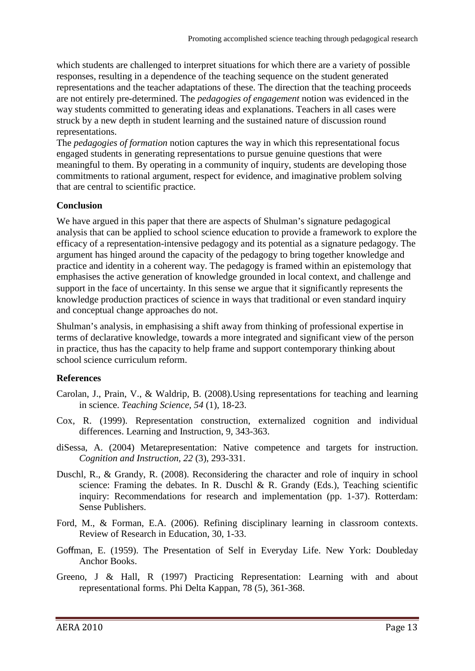which students are challenged to interpret situations for which there are a variety of possible responses, resulting in a dependence of the teaching sequence on the student generated representations and the teacher adaptations of these. The direction that the teaching proceeds are not entirely pre-determined. The *pedagogies of engagement* notion was evidenced in the way students committed to generating ideas and explanations. Teachers in all cases were struck by a new depth in student learning and the sustained nature of discussion round representations.

The *pedagogies of formation* notion captures the way in which this representational focus engaged students in generating representations to pursue genuine questions that were meaningful to them. By operating in a community of inquiry, students are developing those commitments to rational argument, respect for evidence, and imaginative problem solving that are central to scientific practice.

#### **Conclusion**

We have argued in this paper that there are aspects of Shulman's signature pedagogical analysis that can be applied to school science education to provide a framework to explore the efficacy of a representation-intensive pedagogy and its potential as a signature pedagogy. The argument has hinged around the capacity of the pedagogy to bring together knowledge and practice and identity in a coherent way. The pedagogy is framed within an epistemology that emphasises the active generation of knowledge grounded in local context, and challenge and support in the face of uncertainty. In this sense we argue that it significantly represents the knowledge production practices of science in ways that traditional or even standard inquiry and conceptual change approaches do not.

Shulman's analysis, in emphasising a shift away from thinking of professional expertise in terms of declarative knowledge, towards a more integrated and significant view of the person in practice, thus has the capacity to help frame and support contemporary thinking about school science curriculum reform.

#### **References**

- Carolan, J., Prain, V., & Waldrip, B. (2008).Using representations for teaching and learning in science. *Teaching Science, 54* (1), 18-23.
- Cox, R. (1999). Representation construction, externalized cognition and individual differences. Learning and Instruction, 9, 343-363.
- diSessa, A. (2004) Metarepresentation: Native competence and targets for instruction. *Cognition and Instruction, 22* (3), 293-331.
- Duschl, R., & Grandy, R. (2008). Reconsidering the character and role of inquiry in school science: Framing the debates. In R. Duschl & R. Grandy (Eds.), Teaching scientific inquiry: Recommendations for research and implementation (pp. 1-37). Rotterdam: Sense Publishers.
- Ford, M., & Forman, E.A. (2006). Refining disciplinary learning in classroom contexts. Review of Research in Education, 30, 1-33.
- Goffman, E. (1959). The Presentation of Self in Everyday Life. New York: Doubleday Anchor Books.
- Greeno, J & Hall, R (1997) Practicing Representation: Learning with and about representational forms. Phi Delta Kappan, 78 (5), 361-368.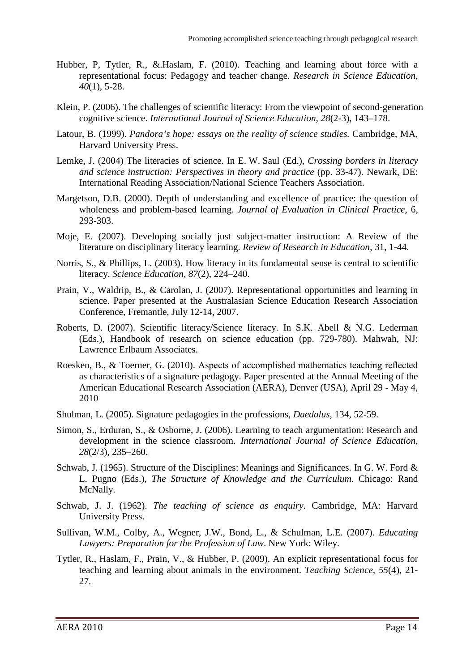- Hubber, P, Tytler, R., &.Haslam, F. (2010). Teaching and learning about force with a representational focus: Pedagogy and teacher change. *Research in Science Education, 40*(1), 5-28.
- Klein, P. (2006). The challenges of scientific literacy: From the viewpoint of second-generation cognitive science. *International Journal of Science Education, 28*(2-3), 143–178.
- Latour, B. (1999). *Pandora's hope: essays on the reality of science studies.* Cambridge, MA, Harvard University Press.
- Lemke, J. (2004) The literacies of science. In E. W. Saul (Ed.), *Crossing borders in literacy and science instruction: Perspectives in theory and practice* (pp. 33-47). Newark, DE: International Reading Association/National Science Teachers Association.
- Margetson, D.B. (2000). Depth of understanding and excellence of practice: the question of wholeness and problem-based learning. *Journal of Evaluation in Clinical Practice,* 6, 293-303.
- Moje, E. (2007). Developing socially just subject-matter instruction: A Review of the literature on disciplinary literacy learning. *Review of Research in Education*, 31, 1-44.
- Norris, S., & Phillips, L. (2003). How literacy in its fundamental sense is central to scientific literacy. *Science Education, 87*(2), 224–240.
- Prain, V., Waldrip, B., & Carolan, J. (2007). Representational opportunities and learning in science. Paper presented at the Australasian Science Education Research Association Conference, Fremantle, July 12-14, 2007.
- Roberts, D. (2007). Scientific literacy/Science literacy. In S.K. Abell & N.G. Lederman (Eds.), Handbook of research on science education (pp. 729-780). Mahwah, NJ: Lawrence Erlbaum Associates.
- Roesken, B., & Toerner, G. (2010). Aspects of accomplished mathematics teaching reflected as characteristics of a signature pedagogy. Paper presented at the Annual Meeting of the American Educational Research Association (AERA), Denver (USA), April 29 - May 4, 2010
- Shulman, L. (2005). Signature pedagogies in the professions, *Daedalus*, 134, 52-59.
- Simon, S., Erduran, S., & Osborne, J. (2006). Learning to teach argumentation: Research and development in the science classroom. *International Journal of Science Education, 28*(2/3), 235–260.
- Schwab, J. (1965). Structure of the Disciplines: Meanings and Significances. In G. W. Ford & L. Pugno (Eds.), *The Structure of Knowledge and the Curriculum.* Chicago: Rand McNally.
- Schwab, J. J. (1962). *The teaching of science as enquiry*. Cambridge, MA: Harvard University Press.
- Sullivan, W.M., Colby, A., Wegner, J.W., Bond, L., & Schulman, L.E. (2007). *Educating Lawyers: Preparation for the Profession of Law*. New York: Wiley.
- Tytler, R., Haslam, F., Prain, V., & Hubber, P. (2009). An explicit representational focus for teaching and learning about animals in the environment. *Teaching Science, 55*(4), 21- 27.